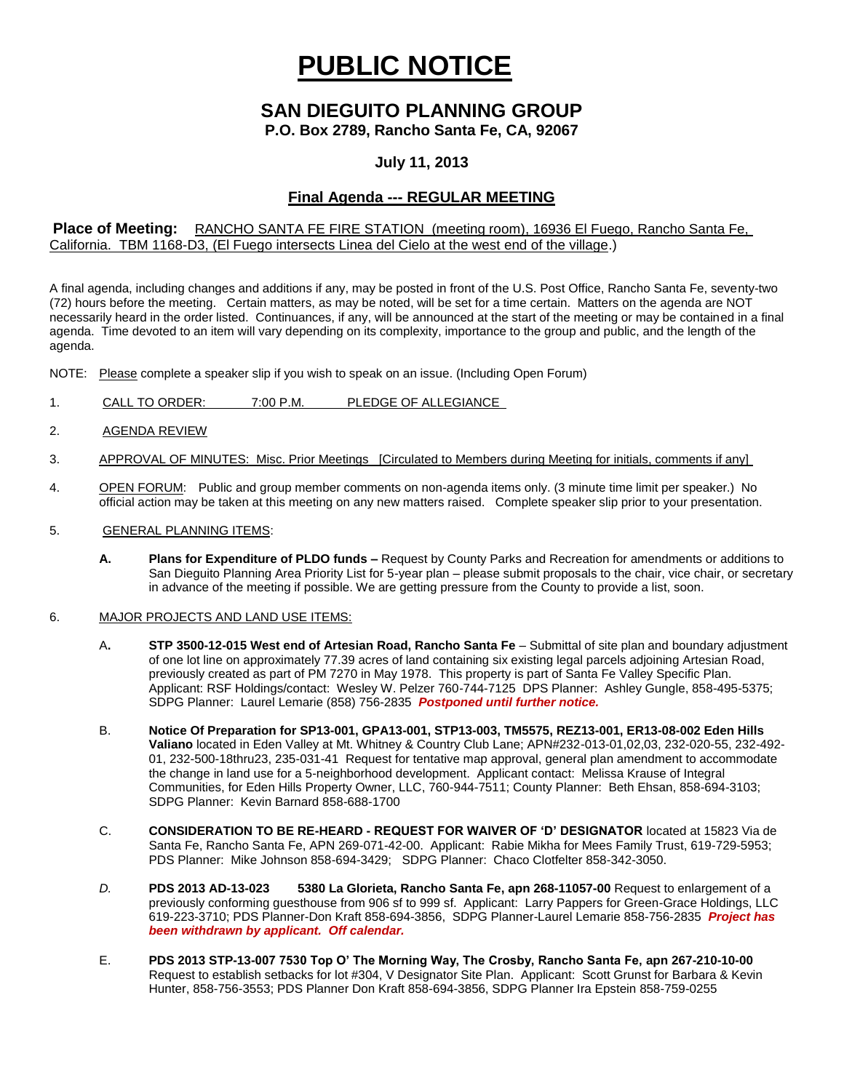# **PUBLIC NOTICE**

# **SAN DIEGUITO PLANNING GROUP**

**P.O. Box 2789, Rancho Santa Fe, CA, 92067**

## **July 11, 2013**

# **Final Agenda --- REGULAR MEETING**

#### **Place of Meeting:** RANCHO SANTA FE FIRE STATION (meeting room), 16936 El Fuego, Rancho Santa Fe, California. TBM 1168-D3, (El Fuego intersects Linea del Cielo at the west end of the village.)

A final agenda, including changes and additions if any, may be posted in front of the U.S. Post Office, Rancho Santa Fe, seventy-two (72) hours before the meeting. Certain matters, as may be noted, will be set for a time certain. Matters on the agenda are NOT necessarily heard in the order listed. Continuances, if any, will be announced at the start of the meeting or may be contained in a final agenda. Time devoted to an item will vary depending on its complexity, importance to the group and public, and the length of the agenda.

NOTE: Please complete a speaker slip if you wish to speak on an issue. (Including Open Forum)

- 1. CALL TO ORDER: 7:00 P.M. PLEDGE OF ALLEGIANCE
- 2. AGENDA REVIEW
- 3. APPROVAL OF MINUTES: Misc. Prior Meetings [Circulated to Members during Meeting for initials, comments if any]
- 4. OPEN FORUM: Public and group member comments on non-agenda items only. (3 minute time limit per speaker.) No official action may be taken at this meeting on any new matters raised. Complete speaker slip prior to your presentation.
- 5. GENERAL PLANNING ITEMS:
	- **A. Plans for Expenditure of PLDO funds –** Request by County Parks and Recreation for amendments or additions to San Dieguito Planning Area Priority List for 5-year plan – please submit proposals to the chair, vice chair, or secretary in advance of the meeting if possible. We are getting pressure from the County to provide a list, soon.

#### 6. MAJOR PROJECTS AND LAND USE ITEMS:

- A**. STP 3500-12-015 West end of Artesian Road, Rancho Santa Fe** Submittal of site plan and boundary adjustment of one lot line on approximately 77.39 acres of land containing six existing legal parcels adjoining Artesian Road, previously created as part of PM 7270 in May 1978. This property is part of Santa Fe Valley Specific Plan. Applicant: RSF Holdings/contact: Wesley W. Pelzer 760-744-7125 DPS Planner: Ashley Gungle, 858-495-5375; SDPG Planner: Laurel Lemarie (858) 756-2835 *Postponed until further notice.*
- B. **Notice Of Preparation for SP13-001, GPA13-001, STP13-003, TM5575, REZ13-001, ER13-08-002 Eden Hills Valiano** located in Eden Valley at Mt. Whitney & Country Club Lane; APN#232-013-01,02,03, 232-020-55, 232-492- 01, 232-500-18thru23, 235-031-41 Request for tentative map approval, general plan amendment to accommodate the change in land use for a 5-neighborhood development. Applicant contact: Melissa Krause of Integral Communities, for Eden Hills Property Owner, LLC, 760-944-7511; County Planner: Beth Ehsan, 858-694-3103; SDPG Planner: Kevin Barnard 858-688-1700
- C. **CONSIDERATION TO BE RE-HEARD - REQUEST FOR WAIVER OF 'D' DESIGNATOR** located at 15823 Via de Santa Fe, Rancho Santa Fe, APN 269-071-42-00. Applicant: Rabie Mikha for Mees Family Trust, 619-729-5953; PDS Planner: Mike Johnson 858-694-3429; SDPG Planner: Chaco Clotfelter 858-342-3050.
- *D.* **PDS 2013 AD-13-023 5380 La Glorieta, Rancho Santa Fe, apn 268-11057-00** Request to enlargement of a previously conforming guesthouse from 906 sf to 999 sf. Applicant: Larry Pappers for Green-Grace Holdings, LLC 619-223-3710; PDS Planner-Don Kraft 858-694-3856, SDPG Planner-Laurel Lemarie 858-756-2835 *Project has been withdrawn by applicant. Off calendar.*
- E. **PDS 2013 STP-13-007 7530 Top O' The Morning Way, The Crosby, Rancho Santa Fe, apn 267-210-10-00** Request to establish setbacks for lot #304, V Designator Site Plan. Applicant: Scott Grunst for Barbara & Kevin Hunter, 858-756-3553; PDS Planner Don Kraft 858-694-3856, SDPG Planner Ira Epstein 858-759-0255